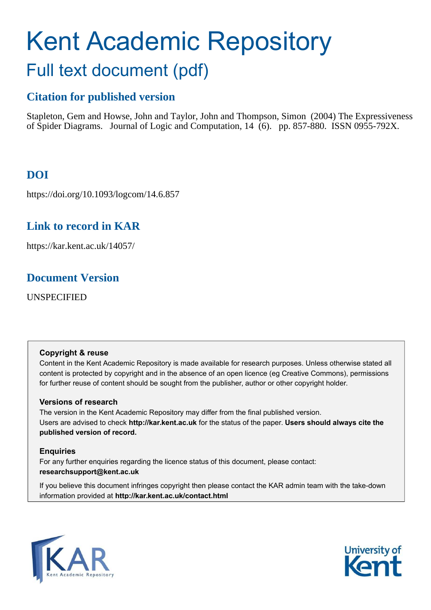# Kent Academic Repository Full text document (pdf)

# **Citation for published version**

Stapleton, Gem and Howse, John and Taylor, John and Thompson, Simon (2004) The Expressiveness of Spider Diagrams. Journal of Logic and Computation, 14 (6). pp. 857-880. ISSN 0955-792X.

# **DOI**

https://doi.org/10.1093/logcom/14.6.857

## **Link to record in KAR**

https://kar.kent.ac.uk/14057/

### **Document Version**

UNSPECIFIED

### **Copyright & reuse**

Content in the Kent Academic Repository is made available for research purposes. Unless otherwise stated all content is protected by copyright and in the absence of an open licence (eg Creative Commons), permissions for further reuse of content should be sought from the publisher, author or other copyright holder.

### **Versions of research**

The version in the Kent Academic Repository may differ from the final published version. Users are advised to check **http://kar.kent.ac.uk** for the status of the paper. **Users should always cite the published version of record.**

### **Enquiries**

For any further enquiries regarding the licence status of this document, please contact: **researchsupport@kent.ac.uk**

If you believe this document infringes copyright then please contact the KAR admin team with the take-down information provided at **http://kar.kent.ac.uk/contact.html**



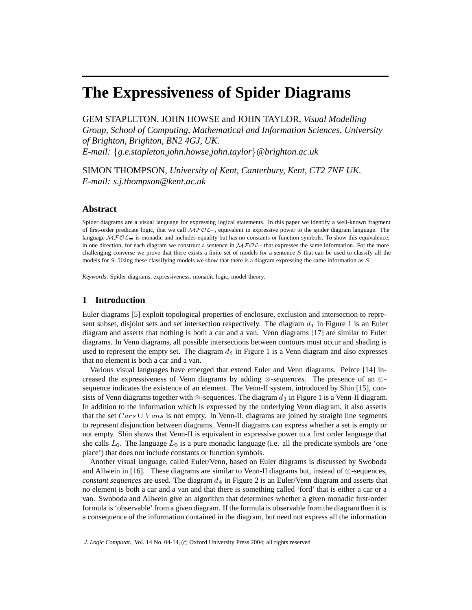GEM STAPLETON, JOHN HOWSE and JOHN TAYLOR, *Visual Modelling Group, School of Computing, Mathematical and Information Sciences, University of Brighton, Brighton, BN2 4GJ, UK. E-mail: g.e.stapleton,john.howse,john.taylor@brighton.ac.uk*

SIMON THOMPSON, *University of Kent, Canterbury, Kent, CT2 7NF UK. E-mail: s.j.thompson@kent.ac.uk*

#### **Abstract**

Spider diagrams are a visual language for expressing logical statements. In this paper we identify a well-known fragment of first-order predicate logic, that we call  $MFO\mathcal{L}_=$ , equivalent in expressive power to the spider diagram language. The language  $\mathcal{MFOL}=$  is monadic and includes equality but has no constants or function symbols. To show this equivalence, in one direction, for each diagram we construct a sentence in  $MFOL$  that expresses the same information. For the more challenging converse we prove that there exists a finite set of models for a sentence  $S$  that can be used to classify all the models for  $S$ . Using these classifying models we show that there is a diagram expressing the same information as  $S$ .

*Keywords*: Spider diagrams, expressiveness, monadic logic, model theory.

#### **1 Introduction**

Euler diagrams [5] exploit topological properties of enclosure, exclusion and intersection to represent subset, disjoint sets and set intersection respectively. The diagram  $d_1$  in Figure 1 is an Euler diagram and asserts that nothing is both a car and a van. Venn diagrams [17] are similar to Euler diagrams. In Venn diagrams, all possible intersections between contours must occur and shading is used to represent the empty set. The diagram  $d_2$  in Figure 1 is a Venn diagram and also expresses that no element is both a car and a van.

Various visual languages have emerged that extend Euler and Venn diagrams. Peirce [14] increased the expressiveness of Venn diagrams by adding  $\otimes$ -sequences. The presence of an  $\otimes$ sequence indicates the existence of an element. The Venn-II system, introduced by Shin [15], consists of Venn diagrams together with  $\otimes$ -sequences. The diagram  $d_3$  in Figure 1 is a Venn-II diagram. In addition to the information which is expressed by the underlying Venn diagram, it also asserts that the set  $Cars \cup Vans$  is not empty. In Venn-II, diagrams are joined by straight line segments to represent disjunction between diagrams. Venn-II diagrams can express whether a set is empty or not empty. Shin shows that Venn-II is equivalent in expressive power to a first order language that she calls  $L_0$ . The language  $L_0$  is a pure monadic language (i.e. all the predicate symbols are 'one place') that does not include constants or function symbols.

Another visual language, called Euler/Venn, based on Euler diagrams is discussed by Swoboda and Allwein in [16]. These diagrams are similar to Venn-II diagrams but, instead of  $\otimes$ -sequences, *constant sequences* are used. The diagram  $d_4$  in Figure 2 is an Euler/Venn diagram and asserts that no element is both a car and a van and that there is something called 'ford' that is either a car or a van. Swoboda and Allwein give an algorithm that determines whether a given monadic first-order formula is 'observable' from a given diagram. If the formula is observable from the diagram then it is a consequence of the information contained in the diagram, but need not express all the information

*J. Logic Computat.*, Vol. 14 No. 04-14,  $\circled{c}$  Oxford University Press 2004; all rights reserved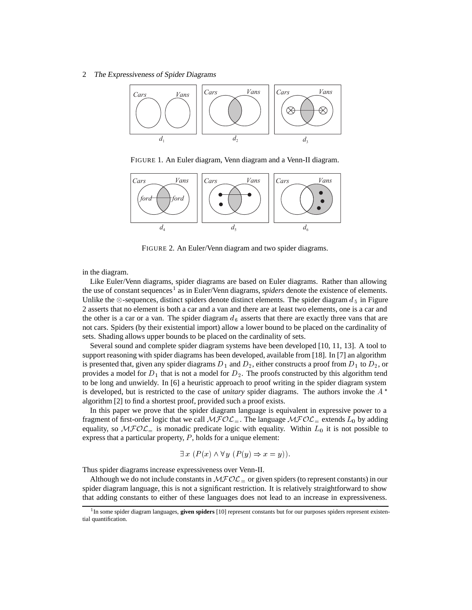

FIGURE 1. An Euler diagram, Venn diagram and a Venn-II diagram.



FIGURE 2. An Euler/Venn diagram and two spider diagrams.

in the diagram.

Like Euler/Venn diagrams, spider diagrams are based on Euler diagrams. Rather than allowing the use of constant sequences<sup>1</sup> as in Euler/Venn diagrams, *spiders* denote the existence of elements. Unlike the  $\otimes$ -sequences, distinct spiders denote distinct elements. The spider diagram  $d_5$  in Figure 2 asserts that no element is both a car and a van and there are at least two elements, one is a car and the other is a car or a van. The spider diagram  $d_6$  asserts that there are exactly three vans that are not cars. Spiders (by their existential import) allow a lower bound to be placed on the cardinality of sets. Shading allows upper bounds to be placed on the cardinality of sets.

Several sound and complete spider diagram systems have been developed [10, 11, 13]. A tool to support reasoning with spider diagrams has been developed, available from [18]. In [7] an algorithm is presented that, given any spider diagrams  $D_1$  and  $D_2$ , either constructs a proof from  $D_1$  to  $D_2$ , or provides a model for  $D_1$  that is not a model for  $D_2$ . The proofs constructed by this algorithm tend to be long and unwieldy. In [6] a heuristic approach to proof writing in the spider diagram system is developed, but is restricted to the case of *unitary* spider diagrams. The authors invoke the algorithm [2] to find a shortest proof, provided such a proof exists.

In this paper we prove that the spider diagram language is equivalent in expressive power to a fragment of first-order logic that we call  $\mathcal{MFOL}_=$ . The language  $\mathcal{MFOL}_=$  extends  $L_0$  by adding equality, so  $\mathcal{MFOL}_=$  is monadic predicate logic with equality. Within  $L_0$  it is not possible to express that a particular property,  $P$ , holds for a unique element:

$$
\exists x \ (P(x) \land \forall y \ (P(y) \Rightarrow x = y)).
$$

Thus spider diagrams increase expressiveness over Venn-II.

Although we do not include constants in  $MFOL$  or given spiders (to represent constants) in our spider diagram language, this is not a significant restriction. It is relatively straightforward to show that adding constants to either of these languages does not lead to an increase in expressiveness.

<sup>&</sup>lt;sup>1</sup>In some spider diagram languages, given spiders [10] represent constants but for our purposes spiders represent existential quantification.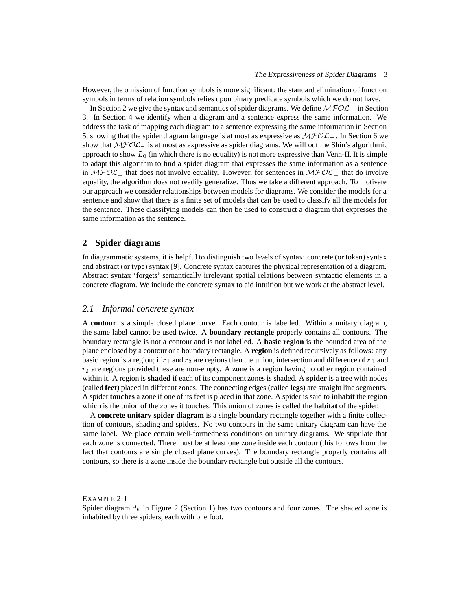However, the omission of function symbols is more significant: the standard elimination of function symbols in terms of relation symbols relies upon binary predicate symbols which we do not have.

In Section 2 we give the syntax and semantics of spider diagrams. We define  $MFOL$  = in Section 3. In Section 4 we identify when a diagram and a sentence express the same information. We address the task of mapping each diagram to a sentence expressing the same information in Section 5, showing that the spider diagram language is at most as expressive as  $MFOL$ <sub>=</sub>. In Section 6 we show that  $\mathcal{MFOL}_{=}$  is at most as expressive as spider diagrams. We will outline Shin's algorithmic approach to show  $L_0$  (in which there is no equality) is not more expressive than Venn-II. It is simple to adapt this algorithm to find a spider diagram that expresses the same information as a sentence in  $MFOL<sub>=</sub>$  that does not involve equality. However, for sentences in  $MFOL<sub>=</sub>$  that do involve equality, the algorithm does not readily generalize. Thus we take a different approach. To motivate our approach we consider relationships between models for diagrams. We consider the models for a sentence and show that there is a finite set of models that can be used to classify all the models for the sentence. These classifying models can then be used to construct a diagram that expresses the same information as the sentence.

#### **2 Spider diagrams**

In diagrammatic systems, it is helpful to distinguish two levels of syntax: concrete (or token) syntax and abstract (or type) syntax [9]. Concrete syntax captures the physical representation of a diagram. Abstract syntax 'forgets' semantically irrelevant spatial relations between syntactic elements in a concrete diagram. We include the concrete syntax to aid intuition but we work at the abstract level.

#### *2.1 Informal concrete syntax*

A **contour** is a simple closed plane curve. Each contour is labelled. Within a unitary diagram, the same label cannot be used twice. A **boundary rectangle** properly contains all contours. The boundary rectangle is not a contour and is not labelled. A **basic region** is the bounded area of the plane enclosed by a contour or a boundary rectangle. A **region** is defined recursively as follows: any basic region is a region; if  $r_1$  and  $r_2$  are regions then the union, intersection and difference of  $r_1$  and  $r<sub>2</sub>$  are regions provided these are non-empty. A **zone** is a region having no other region contained within it. A region is **shaded** if each of its component zones is shaded. A **spider** is a tree with nodes (called **feet**) placed in different zones. The connecting edges (called **legs**) are straight line segments. A spider **touches** a zone if one of its feet is placed in that zone. A spider is said to **inhabit** the region which is the union of the zones it touches. This union of zones is called the **habitat** of the spider.

A **concrete unitary spider diagram** is a single boundary rectangle together with a finite collection of contours, shading and spiders. No two contours in the same unitary diagram can have the same label. We place certain well-formedness conditions on unitary diagrams. We stipulate that each zone is connected. There must be at least one zone inside each contour (this follows from the fact that contours are simple closed plane curves). The boundary rectangle properly contains all contours, so there is a zone inside the boundary rectangle but outside all the contours.

EXAMPLE 2.1

Spider diagram  $d_6$  in Figure 2 (Section 1) has two contours and four zones. The shaded zone is inhabited by three spiders, each with one foot.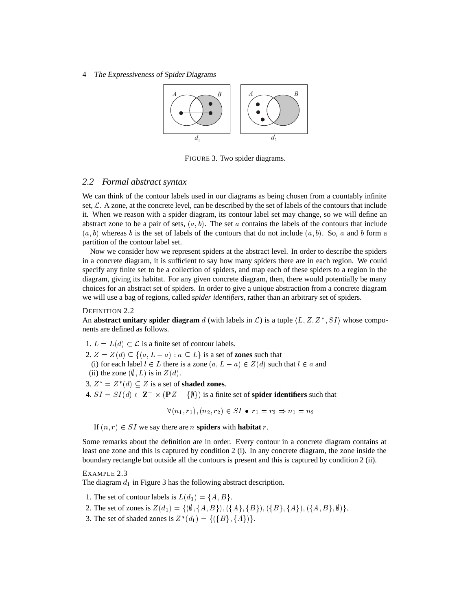

FIGURE 3. Two spider diagrams.

#### *2.2 Formal abstract syntax*

We can think of the contour labels used in our diagrams as being chosen from a countably infinite set,  $\mathcal{L}$ . A zone, at the concrete level, can be described by the set of labels of the contours that include it. When we reason with a spider diagram, its contour label set may change, so we will define an abstract zone to be a pair of sets,  $(a, b)$ . The set a contains the labels of the contours that include  $(a, b)$  whereas b is the set of labels of the contours that do not include  $(a, b)$ . So, a and b form a partition of the contour label set.

Now we consider how we represent spiders at the abstract level. In order to describe the spiders in a concrete diagram, it is sufficient to say how many spiders there are in each region. We could specify any finite set to be a collection of spiders, and map each of these spiders to a region in the diagram, giving its habitat. For any given concrete diagram, then, there would potentially be many choices for an abstract set of spiders. In order to give a unique abstraction from a concrete diagram we will use a bag of regions, called *spider identifiers*, rather than an arbitrary set of spiders.

#### DEFINITION 2.2

An **abstract unitary spider diagram** d (with labels in  $\mathcal{L}$ ) is a tuple  $\langle L, Z, Z^*, SI \rangle$  whose components are defined as follows.

- 1.  $L = L(d) \subset \mathcal{L}$  is a finite set of contour labels.
- 2.  $Z = Z(d) \subseteq \{ (a, L a) : a \subseteq L \}$  is a set of **zones** such that
- (i) for each label  $l \in L$  there is a zone  $(a, L a) \in Z(d)$  such that  $l \in a$  and
- (ii) the zone  $(\emptyset, L)$  is in  $Z(d)$ .
- 3.  $Z^* = Z^*(d) \subseteq Z$  is a set of **shaded zones**.
- 4.  $SI = SI(d) \subset \mathbb{Z}^+ \times (\mathbb{P}Z \{\emptyset\})$  is a finite set of **spider identifiers** such that

- -

If  $(n, r) \in SI$  we say there are *n* **spiders** with **habitat** *r*.

Some remarks about the definition are in order. Every contour in a concrete diagram contains at least one zone and this is captured by condition 2 (i). In any concrete diagram, the zone inside the boundary rectangle but outside all the contours is present and this is captured by condition 2 (ii).

#### EXAMPLE 2.3

The diagram  $d_1$  in Figure 3 has the following abstract description.

- 1. The set of contour labels is  $L(d_1) = \{A, B\}.$
- 2. The set of zones is  $Z(d_1) = \{ (\emptyset, \{A, B\}), (\{A\}, \{B\}), (\{B\}, \{A\}), (\{A, B\}, \emptyset) \}.$
- 3. The set of shaded zones is  $Z^*(d_1) = \{ (\{B\}, \{A\}) \}.$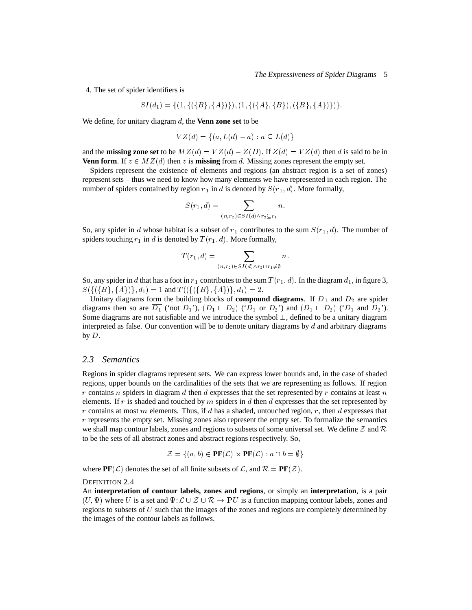4. The set of spider identifiers is

$$
SI(d_1) = \{ (1, \{ (\{B\}, \{A\}) \}), (1, \{ (\{A\}, \{B\}), (\{B\}, \{A\}) \}) \}.
$$

We define, for unitary diagram  $d$ , the **Venn zone set** to be

$$
VZ(d) = \{(a, L(d) - a) : a \subseteq L(d)\}
$$

and the **missing zone set** to be  $MZ(d) = VZ(d) - Z(D)$ . If  $Z(d) = VZ(d)$  then d is said to be in **Venn form.** If  $z \in M Z(d)$  then z is **missing** from d. Missing zones represent the empty set.

Spiders represent the existence of elements and regions (an abstract region is a set of zones) represent sets – thus we need to know how many elements we have represented in each region. The number of spiders contained by region  $r_1$  in d is denoted by  $S(r_1, d)$ . More formally,

$$
S(r_1, d) = \sum_{(n,r_2) \in SI(d) \land r_2 \subseteq r_1} n
$$

So, any spider in d whose habitat is a subset of  $r_1$  contributes to the sum  $S(r_1, d)$ . The number of spiders touching  $r_1$  in d is denoted by  $T(r_1, d)$ . More formally,

$$
T(r_1, d) = \sum_{(n,r_2) \in SI(d) \land r_2 \cap r_1 \neq \emptyset} n.
$$

So, any spider in d that has a foot in  $r_1$  contributes to the sum  $T(r_1, d)$ . In the diagram  $d_1$ , in figure 3,  $S(\{\{\{B\},\{A\}\}\},d_1)=1$  and  $T(\{\{\{B\},\{A\}\}\},d_1)=2$ .

Unitary diagrams form the building blocks of **compound diagrams**. If  $D_1$  and  $D_2$  are spider diagrams then so are  $\overline{D_1}$  ('not  $D_1$ '),  $(D_1 \sqcup D_2)$  (' $D_1$  or  $D_2$ ') and  $(D_1 \sqcap D_2)$  (' $D_1$  and  $D_2$ '). Some diagrams are not satisfiable and we introduce the symbol  $\perp$ , defined to be a unitary diagram interpreted as false. Our convention will be to denote unitary diagrams by  $d$  and arbitrary diagrams by  $D$ .

#### *2.3 Semantics*

Regions in spider diagrams represent sets. We can express lower bounds and, in the case of shaded regions, upper bounds on the cardinalities of the sets that we are representing as follows. If region r contains n spiders in diagram d then d expresses that the set represented by r contains at least n elements. If  $r$  is shaded and touched by  $m$  spiders in  $d$  then  $d$  expresses that the set represented by  $r$  contains at most  $m$  elements. Thus, if  $d$  has a shaded, untouched region,  $r$ , then  $d$  expresses that  $r$  represents the empty set. Missing zones also represent the empty set. To formalize the semantics we shall map contour labels, zones and regions to subsets of some universal set. We define  $\mathcal Z$  and  $\mathcal R$ to be the sets of all abstract zones and abstract regions respectively. So,

$$
\mathcal{Z} = \{(a, b) \in \mathbf{PF}(\mathcal{L}) \times \mathbf{PF}(\mathcal{L}) : a \cap b = \emptyset\}
$$

where  $PF(\mathcal{L})$  denotes the set of all finite subsets of  $\mathcal{L}$ , and  $\mathcal{R} = PF(\mathcal{Z})$ .

#### DEFINITION 2.4

An **interpretation of contour labels, zones and regions**, or simply an **interpretation**, is a pair  $(U, \Psi)$  where U is a set and  $\Psi: \mathcal{L} \cup \mathcal{Z} \cup \mathcal{R} \to \mathbf{P}U$  is a function mapping contour labels, zones and regions to subsets of  $U$  such that the images of the zones and regions are completely determined by the images of the contour labels as follows.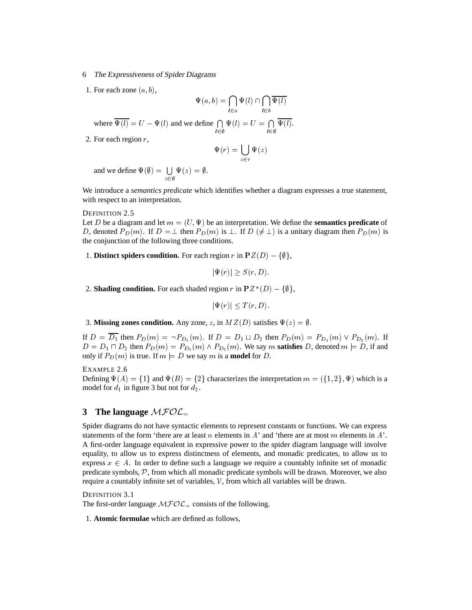- 6 The Expressiveness of Spider Diagrams
- 1. For each zone  $(a, b)$ ,

where 
$$
\overline{\Psi(l)} = U - \Psi(l)
$$
 and we define  $\bigcap_{l \in \emptyset} \Psi(l) = U = \bigcap_{l \in \emptyset} \overline{\Psi(l)}$ .

2. For each region  $r$ ,

$$
\Psi(r) = \bigcup_{z \in r} \Psi(z)
$$

 $\sim$ 

 $\cdot$   $\cdot$ 

 $\Psi(a,b) = \bigcap \Psi(l) \cap$ 

and we define  $\Psi(\emptyset) = \bigcup$  $\Psi(z) = \emptyset.$ 

We introduce a *semantics predicate* which identifies whether a diagram expresses a true statement, with respect to an interpretation.

DEFINITION 2.5

Let D be a diagram and let  $m = (U, \Psi)$  be an interpretation. We define the **semantics predicate** of D, denoted  $P_D(m)$ . If  $D = \perp$  then  $P_D(m)$  is  $\perp$ . If  $D \not\equiv \perp$  is a unitary diagram then  $P_D(m)$  is the conjunction of the following three conditions.

1. **Distinct spiders condition.** For each region  $r$  in  $PZ(D) - \{\emptyset\},\$ 

$$
|\Psi(r)| \ge S(r, D).
$$

2. **Shading condition.** For each shaded region r in  $P Z^*(D) - \{ \emptyset \},\$ 

$$
|\Psi(r)| \le T(r, D).
$$

3. **Missing zones condition.** Any zone, z, in  $MZ(D)$  satisfies  $\Psi(z) = \emptyset$ .

If  $D = D_1$  then  $P_D(m) = \neg P_{D_1}(m)$ . If  $D = D_1 \sqcup D_2$  then  $P_D(m) = P_{D_1}(m) \vee P_{D_2}(m)$ . If  $D = D_1 \sqcap D_2$  then  $P_D(m) = P_{D_1}(m) \wedge P_{D_2}(m)$ . We say m **satisfies** D, denoted  $m \models D$ , if and only if  $P_D(m)$  is true. If  $m \models D$  we say m is a **model** for D.

EXAMPLE 2.6

Defining  $\Psi(A) = \{1\}$  and  $\Psi(B) = \{2\}$  characterizes the interpretation  $m = (\{1, 2\}, \Psi)$  which is a model for  $d_1$  in figure 3 but not for  $d_2$ .

### **3** The language  $MFOL_{=}$

Spider diagrams do not have syntactic elements to represent constants or functions. We can express statements of the form 'there are at least n elements in  $A'$  and 'there are at most m elements in  $A'$ . A first-order language equivalent in expressive power to the spider diagram language will involve equality, to allow us to express distinctness of elements, and monadic predicates, to allow us to express  $x \in A$ . In order to define such a language we require a countably infinite set of monadic predicate symbols,  $P$ , from which all monadic predicate symbols will be drawn. Moreover, we also require a countably infinite set of variables,  $V$ , from which all variables will be drawn.

DEFINITION 3.1

The first-order language  $MFOL$ <sub>=</sub> consists of the following.

1. **Atomic formulae** which are defined as follows,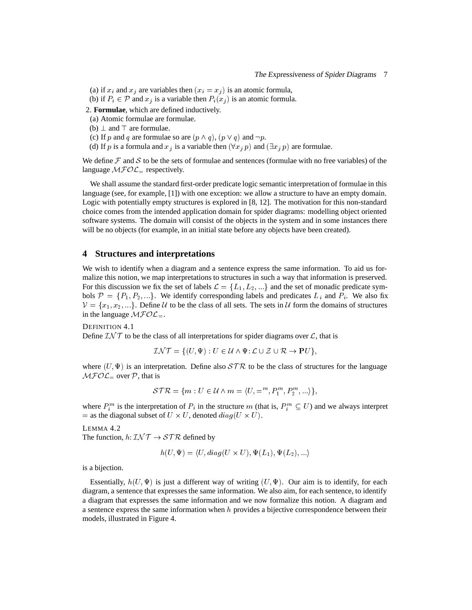- (a) if  $x_i$  and  $x_j$  are variables then  $(x_i = x_j)$  is an atomic formula,
- (b) if  $P_i \in \mathcal{P}$  and  $x_j$  is a variable then  $P_i(x_j)$  is an atomic formula.

2. **Formulae**, which are defined inductively.

- (a) Atomic formulae are formulae.
- (b)  $\perp$  and  $\perp$  are formulae.
- (c) If p and q are formulae so are  $(p \wedge q)$ ,  $(p \vee q)$  and  $\neg p$ .
- (d) If p is a formula and  $x_j$  is a variable then  $(\forall x_j p)$  and  $(\exists x_j p)$  are formulae.

We define  $\mathcal F$  and  $\mathcal S$  to be the sets of formulae and sentences (formulae with no free variables) of the language  $MFOL$ <sub>=</sub> respectively.

We shall assume the standard first-order predicate logic semantic interpretation of formulae in this language (see, for example, [1]) with one exception: we allow a structure to have an empty domain. Logic with potentially empty structures is explored in [8, 12]. The motivation for this non-standard choice comes from the intended application domain for spider diagrams: modelling object oriented software systems. The domain will consist of the objects in the system and in some instances there will be no objects (for example, in an initial state before any objects have been created).

#### **4 Structures and interpretations**

We wish to identify when a diagram and a sentence express the same information. To aid us formalize this notion, we map interpretations to structures in such a way that information is preserved. For this discussion we fix the set of labels  $\mathcal{L} = \{L_1, L_2, ...\}$  and the set of monadic predicate symbols  $\mathcal{P} = \{P_1, P_2, ...\}$ . We identify corresponding labels and predicates  $L_i$  and  $P_i$ . We also fix  $\mathcal{V} = \{x_1, x_2, ...\}$ . Define U to be the class of all sets. The sets in U form the domains of structures in the language  $MFOL_{=}$ .

DEFINITION 4.1

Define  $\mathcal{INT}$  to be the class of all interpretations for spider diagrams over  $\mathcal{L}$ , that is

$$
\mathcal{INT} = \{ (U, \Psi) : U \in \mathcal{U} \wedge \Psi : \mathcal{L} \cup \mathcal{Z} \cup \mathcal{R} \to \mathbf{P} U \},
$$

where  $(U, \Psi)$  is an interpretation. Define also  $\mathcal{STR}$  to be the class of structures for the language  $MFOL$ <sub>=</sub> over P, that is

$$
\mathcal{STR} = \{m : U \in \mathcal{U} \wedge m = \langle U, =^m, P_1^m, P_2^m, \ldots \rangle\},\
$$

where  $P_i^m$  is the interpretation of  $P_i$  in the structure m (that is,  $P_i^m \subseteq U$ ) and we always interpret = as the diagonal subset of  $U \times U$ , denoted  $diag(U \times U)$ .

LEMMA 4.2 The function,  $h: \mathcal{INT} \to \mathcal{STR}$  defined by

$$
h(U, \Psi) = \langle U, diag(U \times U), \Psi(L_1), \Psi(L_2), \ldots \rangle
$$

is a bijection.

Essentially,  $h(U, \Psi)$  is just a different way of writing  $(U, \Psi)$ . Our aim is to identify, for each diagram, a sentence that expresses the same information. We also aim, for each sentence, to identify a diagram that expresses the same information and we now formalize this notion. A diagram and a sentence express the same information when  $h$  provides a bijective correspondence between their models, illustrated in Figure 4.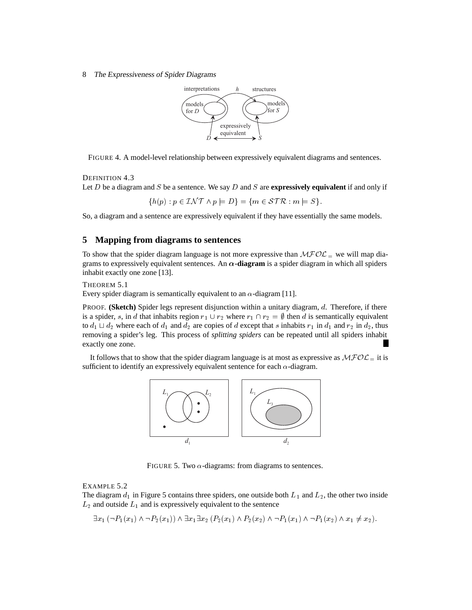

FIGURE 4. A model-level relationship between expressively equivalent diagrams and sentences.

#### DEFINITION 4.3

Let  $D$  be a diagram and  $S$  be a sentence. We say  $D$  and  $S$  are **expressively equivalent** if and only if

 $\{h(p): p \in \mathcal{I} \mathcal{N} \mathcal{T} \wedge p \models D\} = \{m \in \mathcal{S} \mathcal{T} \mathcal{R}: m \models S\}.$ 

So, a diagram and a sentence are expressively equivalent if they have essentially the same models.

#### **5 Mapping from diagrams to sentences**

To show that the spider diagram language is not more expressive than  $MFOL$  = we will map diagrams to expressively equivalent sentences. An  $\alpha$ -diagram is a spider diagram in which all spiders inhabit exactly one zone [13].

THEOREM 5.1

Every spider diagram is semantically equivalent to an  $\alpha$ -diagram [11].

PROOF. **(Sketch)** Spider legs represent disjunction within a unitary diagram, d. Therefore, if there is a spider, s, in d that inhabits region  $r_1 \cup r_2$  where  $r_1 \cap r_2 = \emptyset$  then d is semantically equivalent to  $d_1 \sqcup d_2$  where each of  $d_1$  and  $d_2$  are copies of  $d$  except that  $s$  inhabits  $r_1$  in  $d_1$  and  $r_2$  in  $d_2$ , thus removing a spider's leg. This process of *splitting spiders* can be repeated until all spiders inhabit exactly one zone. H.

It follows that to show that the spider diagram language is at most as expressive as  $MFOL$  = it is sufficient to identify an expressively equivalent sentence for each  $\alpha$ -diagram.



FIGURE 5. Two  $\alpha$ -diagrams: from diagrams to sentences.

#### EXAMPLE 5.2

The diagram  $d_1$  in Figure 5 contains three spiders, one outside both  $L_1$  and  $L_2$ , the other two inside  $L_2$  and outside  $L_1$  and is expressively equivalent to the sentence

$$
\exists x_1 (\neg P_1(x_1) \land \neg P_2(x_1)) \land \exists x_1 \exists x_2 (P_2(x_1) \land P_2(x_2) \land \neg P_1(x_1) \land \neg P_1(x_2) \land x_1 \neq x_2).
$$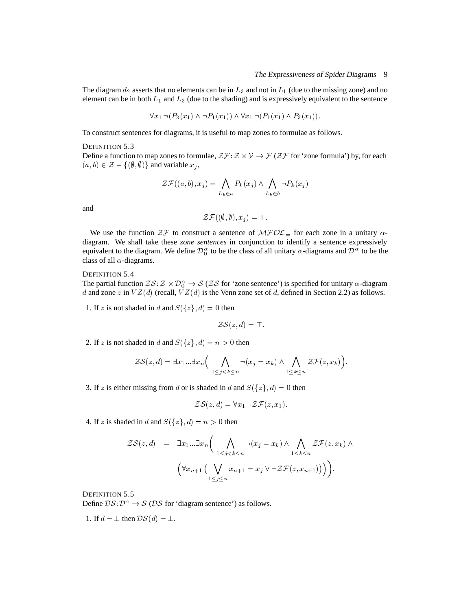The diagram  $d_2$  asserts that no elements can be in  $L_3$  and not in  $L_1$  (due to the missing zone) and no element can be in both  $L_1$  and  $L_3$  (due to the shading) and is expressively equivalent to the sentence

$$
\forall x_1 \neg (P_3(x_1) \land \neg P_1(x_1)) \land \forall x_1 \neg (P_1(x_1) \land P_3(x_1)).
$$

To construct sentences for diagrams, it is useful to map zones to formulae as follows.

#### DEFINITION 5.3

Define a function to map zones to formulae,  $Z \mathcal{F}: Z \times V \to \mathcal{F}(\mathcal{ZF})$  for 'zone formula') by, for each  $(a, b) \in \mathcal{Z} - \{(\emptyset, \emptyset)\}\$ and variable  $x_i$ ,

$$
\mathcal{ZF}((a,b),x_j)=\bigwedge_{L_k\in a}P_k(x_j)\wedge\bigwedge_{L_k\in b}\neg P_k(x_j)
$$

and

$$
\mathcal{ZF}((\emptyset,\emptyset),x_j)=\top.
$$

We use the function  $\mathcal{ZF}$  to construct a sentence of  $\mathcal{MFOL}_{=}$  for each zone in a unitary  $\alpha$ diagram. We shall take these *zone sentences* in conjunction to identify a sentence expressively equivalent to the diagram. We define  $\mathcal{D}_{0}^{\alpha}$  to be the class of all unitary  $\alpha$ -diagrams and  $\mathcal{D}^{\alpha}$  to be the class of all  $\alpha$ -diagrams.

#### DEFINITION 5.4

The partial function  $\mathcal{LS} : \mathcal{Z} \times \mathcal{D}_0^{\alpha} \to \mathcal{S} \ ( \mathcal{Z} \mathcal{S} \text{ for 'zone sentence'})$  is specified for unitary  $\alpha$ -diagram d and zone z in  $VZ(d)$  (recall,  $VZ(d)$  is the Venn zone set of d, defined in Section 2.2) as follows.

1. If z is not shaded in d and  $S({z}, d) = 0$  then

$$
\mathcal{ZS}(z,d)=\top.
$$

2. If z is not shaded in d and  $S({z}, d) = n > 0$  then

$$
\mathcal{ZS}(z,d) = \exists x_1...\exists x_n \Big( \bigwedge_{1 \leq j < k \leq n} \neg(x_j = x_k) \land \bigwedge_{1 \leq k \leq n} \mathcal{ZF}(z,x_k) \Big).
$$

3. If z is either missing from d or is shaded in d and  $S({z}, d) = 0$  then

$$
\mathcal{ZS}(z,d) = \forall x_1 \neg \mathcal{ZF}(z,x_1).
$$

4. If z is shaded in d and  $S({z}, d) = n > 0$  then

$$
\mathcal{ZS}(z,d) = \exists x_1...\exists x_n \Big( \bigwedge_{1 \leq j < k \leq n} \neg(x_j = x_k) \land \bigwedge_{1 \leq k \leq n} \mathcal{ZF}(z, x_k) \land \Big( \forall x_{n+1} \Big( \bigvee_{1 \leq j \leq n} x_{n+1} = x_j \lor \neg \mathcal{ZF}(z, x_{n+1}) \Big) \Big) \Big).
$$

DEFINITION 5.5

Define  $\mathcal{DS}: \mathcal{D}^{\alpha} \to \mathcal{S}$  ( $\mathcal{DS}$  for 'diagram sentence') as follows.

1. If  $d = \perp$  then  $DS(d) = \perp$ .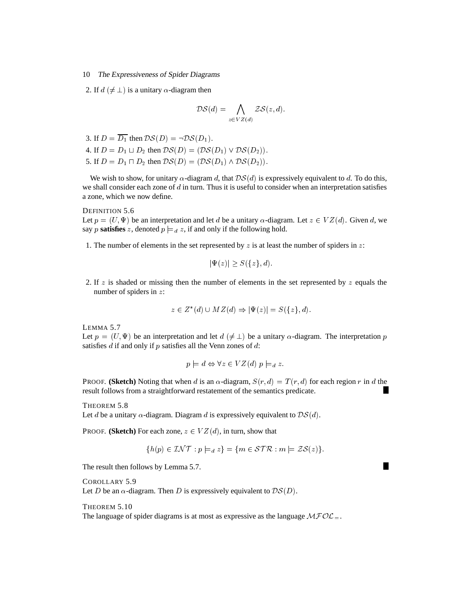2. If  $d \neq \perp$  is a unitary  $\alpha$ -diagram then

$$
\mathcal{DS}(d) = \bigwedge_{z \in VZ(d)} \mathcal{ZS}(z, d).
$$

3. If  $D = \overline{D_1}$  then  $\mathcal{DS}(D) = \neg \mathcal{DS}(D_1)$ . 4. If  $D = D_1 \sqcup D_2$  then  $\mathcal{DS}(D) = (\mathcal{DS}(D_1) \vee \mathcal{DS}(D_2)).$ 5. If  $D = D_1 \sqcap D_2$  then  $\mathcal{DS}(D) = (\mathcal{DS}(D_1) \wedge \mathcal{DS}(D_2)).$ 

We wish to show, for unitary  $\alpha$ -diagram d, that  $DS(d)$  is expressively equivalent to d. To do this, we shall consider each zone of  $d$  in turn. Thus it is useful to consider when an interpretation satisfies a zone, which we now define.

DEFINITION 5.6

Let  $p = (U, \Psi)$  be an interpretation and let d be a unitary  $\alpha$ -diagram. Let  $z \in VZ(d)$ . Given d, we say p **satisfies** z, denoted  $p \models_d z$ , if and only if the following hold.

1. The number of elements in the set represented by  $z$  is at least the number of spiders in  $z$ :

$$
|\Psi(z)| \ge S(\{z\}, d).
$$

2. If z is shaded or missing then the number of elements in the set represented by z equals the number of spiders in  $z$ :

$$
z \in Z^*(d) \cup M Z(d) \Rightarrow |\Psi(z)| = S(\{z\}, d).
$$

LEMMA 5.7

Let  $p = (U, \Psi)$  be an interpretation and let  $d \neq \bot$ ) be a unitary  $\alpha$ -diagram. The interpretation p satisfies  $d$  if and only if  $p$  satisfies all the Venn zones of  $d$ :

$$
p \models d \Leftrightarrow \forall z \in VZ(d) \ p \models_d z.
$$

**PROOF.** (Sketch) Noting that when d is an  $\alpha$ -diagram,  $S(r, d) = T(r, d)$  for each region r in d the result follows from a straightforward restatement of the semantics predicate.

THEOREM 5.8

Let *d* be a unitary  $\alpha$ -diagram. Diagram *d* is expressively equivalent to  $DS(d)$ .

PROOF. **(Sketch)** For each zone,  $z \in VZ(d)$ , in turn, show that

$$
\{h(p) \in \mathcal{INT} : p \models_d z\} = \{m \in \mathcal{STR} : m \models \mathcal{ZS}(z)\}.
$$

F

The result then follows by Lemma 5.7.

COROLLARY 5.9 Let D be an  $\alpha$ -diagram. Then D is expressively equivalent to  $\mathcal{DS}(D)$ .

THEOREM 5.10

The language of spider diagrams is at most as expressive as the language  $MFOL$ <sub>=</sub>.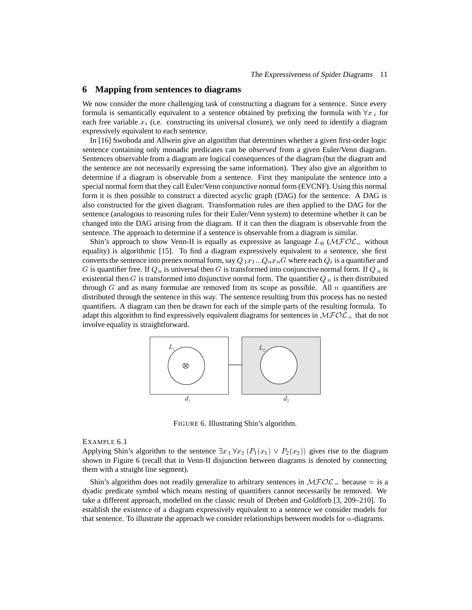#### **6 Mapping from sentences to diagrams**

We now consider the more challenging task of constructing a diagram for a sentence. Since every formula is semantically equivalent to a sentence obtained by prefixing the formula with  $\forall x_i$  for each free variable  $x_i$  (i.e. constructing its universal closure), we only need to identify a diagram expressively equivalent to each sentence.

In [16] Swoboda and Allwein give an algorithm that determines whether a given first-order logic sentence containing only monadic predicates can be *observed* from a given Euler/Venn diagram. Sentences observable from a diagram are logical consequences of the diagram (but the diagram and the sentence are not necessarily expressing the same information). They also give an algorithm to determine if a diagram is observable from a sentence. First they manipulate the sentence into a special normal form that they call Euler/Venn conjunctive normal form (EVCNF). Using this normal form it is then possible to construct a directed acyclic graph (DAG) for the sentence. A DAG is also constructed for the given diagram. Transformation rules are then applied to the DAG for the sentence (analogous to reasoning rules for their Euler/Venn system) to determine whether it can be changed into the DAG arising from the diagram. If it can then the diagram is observable from the sentence. The approach to determine if a sentence is observable from a diagram is similar.

Shin's approach to show Venn-II is equally as expressive as language  $L_0$  ( $\mathcal{MFOL}_{=}$  without equality) is algorithmic [15]. To find a diagram expressively equivalent to a sentence, she first converts the sentence into prenex normal form, say  $Q_1 x_1 \dots Q_n x_n G$  where each  $Q_i$  is a quantifier and G is quantifier free. If  $Q_n$  is universal then G is transformed into conjunctive normal form. If  $Q_n$  is existential then  $G$  is transformed into disjunctive normal form. The quantifier  $Q_n$  is then distributed through  $G$  and as many formulae are removed from its scope as possible. All  $n$  quantifiers are distributed through the sentence in this way. The sentence resulting from this process has no nested quantifiers. A diagram can then be drawn for each of the simple parts of the resulting formula. To adapt this algorithm to find expressively equivalent diagrams for sentences in  $\mathcal{MFOL}_{=}$  that do not involve equality is straightforward.



FIGURE 6. Illustrating Shin's algorithm.

#### EXAMPLE 6.1

Applying Shin's algorithm to the sentence  $\exists x_1 \forall x_2 (P_1(x_1) \vee P_2(x_2))$  gives rise to the diagram shown in Figure 6 (recall that in Venn-II disjunction between diagrams is denoted by connecting them with a straight line segment).

Shin's algorithm does not readily generalize to arbitrary sentences in  $MFOL$  = because = is a dyadic predicate symbol which means nesting of quantifiers cannot necessarily be removed. We take a different approach, modelled on the classic result of Dreben and Goldforb [3, 209–210]. To establish the existence of a diagram expressively equivalent to a sentence we consider models for that sentence. To illustrate the approach we consider relationships between models for  $\alpha$ -diagrams.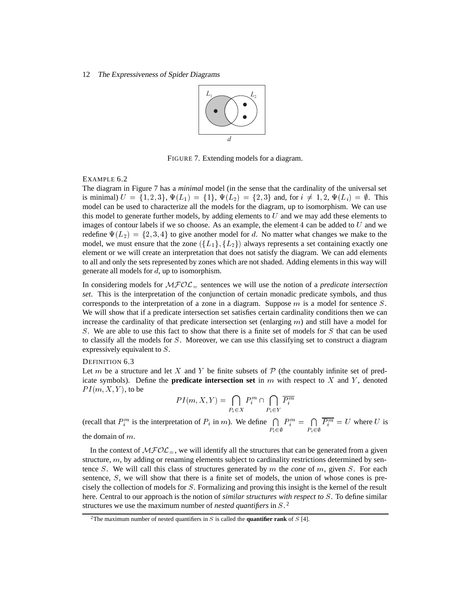

FIGURE 7. Extending models for a diagram.

EXAMPLE 6.2

The diagram in Figure 7 has a *minimal* model (in the sense that the cardinality of the universal set is minimal)  $U = \{1, 2, 3\}, \Psi(L_1) = \{1\}, \Psi(L_2) = \{2, 3\}$  and, for  $i \neq 1, 2, \Psi(L_i) = \emptyset$ . This model can be used to characterize all the models for the diagram, up to isomorphism. We can use this model to generate further models, by adding elements to  $U$  and we may add these elements to images of contour labels if we so choose. As an example, the element  $4$  can be added to  $U$  and we redefine  $\Psi(L_2) = \{2, 3, 4\}$  to give another model for d. No matter what changes we make to the model, we must ensure that the zone  $({L_1}, {L_2})$  always represents a set containing exactly one element or we will create an interpretation that does not satisfy the diagram. We can add elements to all and only the sets represented by zones which are not shaded. Adding elements in this way will generate all models for  $d$ , up to isomorphism.

In considering models for  $MFOL$ <sub>=</sub> sentences we will use the notion of a *predicate intersection set*. This is the interpretation of the conjunction of certain monadic predicate symbols, and thus corresponds to the interpretation of a zone in a diagram. Suppose  $m$  is a model for sentence  $S$ . We will show that if a predicate intersection set satisfies certain cardinality conditions then we can increase the cardinality of that predicate intersection set (enlarging  $m$ ) and still have a model for S. We are able to use this fact to show that there is a finite set of models for  $S$  that can be used to classify all the models for  $S$ . Moreover, we can use this classifying set to construct a diagram expressively equivalent to  $S$ .

#### DEFINITION 6.3

Let m be a structure and let X and Y be finite subsets of  $P$  (the countably infinite set of predicate symbols). Define the **predicate intersection set** in  $m$  with respect to  $X$  and  $Y$ , denoted  $PI(m, X, Y)$ , to be

$$
PI(m, X, Y) = \bigcap_{P_i \in X} P_i^m \cap \bigcap_{P_i \in Y} \overline{P_i^m}
$$

(recall that  $P_i^m$  is the interpretation of  $P_i$  in m). We define  $\bigcap$ - 1 - 2  $P_i^m = \bigcap$ - . - - $P_i^m = U$  where U is

the domain of  $m$ .

In the context of  $MFOL_{=}$ , we will identify all the structures that can be generated from a given structure,  $m$ , by adding or renaming elements subject to cardinality restrictions determined by sentence  $S$ . We will call this class of structures generated by  $m$  the *cone* of  $m$ , given  $S$ . For each sentence,  $S$ , we will show that there is a finite set of models, the union of whose cones is precisely the collection of models for  $S$ . Formalizing and proving this insight is the kernel of the result here. Central to our approach is the notion of *similar structures with respect to* S. To define similar structures we use the maximum number of *nested quantifiers* in  $S<sup>2</sup>$ .

<sup>&</sup>lt;sup>2</sup>The maximum number of nested quantifiers in  $S$  is called the **quantifier rank** of  $S$  [4].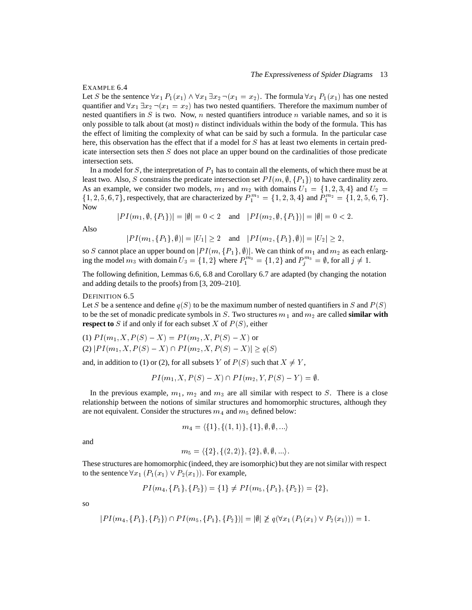EXAMPLE 6.4

Let S be the sentence  $\forall x_1 P_1(x_1) \land \forall x_1 \exists x_2 \neg (x_1 = x_2)$ . The formula  $\forall x_1 P_1(x_1)$  has one nested quantifier and  $\forall x_1 \exists x_2 \neg (x_1 = x_2)$  has two nested quantifiers. Therefore the maximum number of nested quantifiers in  $S$  is two. Now,  $n$  nested quantifiers introduce  $n$  variable names, and so it is only possible to talk about (at most) *n* distinct individuals within the body of the formula. This has the effect of limiting the complexity of what can be said by such a formula. In the particular case here, this observation has the effect that if a model for  $S$  has at least two elements in certain predicate intersection sets then  $S$  does not place an upper bound on the cardinalities of those predicate intersection sets.

In a model for S, the interpretation of  $P_1$  has to contain all the elements, of which there must be at least two. Also, S constrains the predicate intersection set  $PI(m, \emptyset, \{P_1\})$  to have cardinality zero. As an example, we consider two models,  $m_1$  and  $m_2$  with domains  $U_1 = \{1, 2, 3, 4\}$  and  $U_2$  $\{1, 2, 5, 6, 7\}$ , respectively, that are characterized by  $P_1^{m_1} = \{1, 2, 3, 4\}$  and  $P_1^{m_2} = \{1, 2, 5, 6, 7\}$ . Now

$$
|PI(m_1, \emptyset, \{P_1\})| = |\emptyset| = 0 < 2 \quad \text{and} \quad |PI(m_2, \emptyset, \{P_1\})| = |\emptyset| = 0 < 2.
$$

Also

$$
|PI(m_1, \{P_1\}, \emptyset)| = |U_1| \ge 2 \quad \text{and} \quad |PI(m_2, \{P_1\}, \emptyset)| = |U_2| \ge 2,
$$

so S cannot place an upper bound on  $|PI(m, \{P_1\}, \emptyset)|$ . We can think of  $m_1$  and  $m_2$  as each enlarging the model  $m_3$  with domain  $U_3 = \{1, 2\}$  where  $P_1^{m_3} = \{1, 2\}$  and  $P_j^{m_3} = \emptyset$ , for all  $j \neq 1$ .

The following definition, Lemmas 6.6, 6.8 and Corollary 6.7 are adapted (by changing the notation and adding details to the proofs) from [3, 209–210].

#### DEFINITION 6.5

Let S be a sentence and define  $q(S)$  to be the maximum number of nested quantifiers in S and  $P(S)$ to be the set of monadic predicate symbols in S. Two structures  $m_1$  and  $m_2$  are called **similar with respect to**  $S$  if and only if for each subset  $X$  of  $P(S)$ , either

(1) 
$$
PI(m_1, X, P(S) - X) = PI(m_2, X, P(S) - X)
$$
 or  
(2)  $|PI(m_1, X, P(S) - X) \cap PI(m_2, X, P(S) - X)| \ge q(S)$ 

and, in addition to (1) or (2), for all subsets Y of  $P(S)$  such that  $X \neq Y$ ,

$$
PI(m_1, X, P(S) - X) \cap PI(m_2, Y, P(S) - Y) = \emptyset.
$$

In the previous example,  $m_1$ ,  $m_2$  and  $m_3$  are all similar with respect to S. There is a close relationship between the notions of similar structures and homomorphic structures, although they are not equivalent. Consider the structures  $m_4$  and  $m_5$  defined below:

$$
m_4 = \{\{1\}, \{(1,1)\}, \{1\}, \emptyset, \emptyset, \ldots\}
$$

and

$$
m_5 = \langle \{2\}, \{(2,2)\}, \{2\}, \emptyset, \emptyset, \ldots \rangle.
$$

These structures are homomorphic (indeed, they are isomorphic) but they are not similar with respect to the sentence  $\forall x_1 (P_1(x_1) \lor P_2(x_1))$ . For example,

$$
PI(m_4, \{P_1\}, \{P_2\}) = \{1\} \neq PI(m_5, \{P_1\}, \{P_2\}) = \{2\},
$$

so

$$
|PI(m_4, \{P_1\}, \{P_2\}) \cap PI(m_5, \{P_1\}, \{P_2\})| = |\emptyset| \not\ge q(\forall x_1 (P_1(x_1) \lor P_2(x_1))) = 1.
$$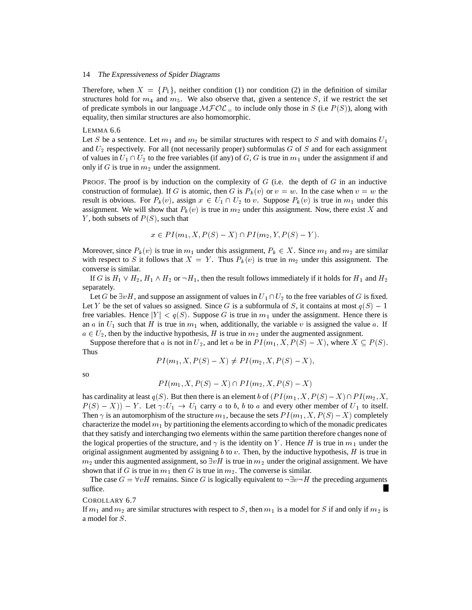Therefore, when  $X = \{P_1\}$ , neither condition (1) nor condition (2) in the definition of similar structures hold for  $m_4$  and  $m_5$ . We also observe that, given a sentence S, if we restrict the set of predicate symbols in our language  $\mathcal{MFOL}_{=}$  to include only those in S (i.e  $P(S)$ ), along with equality, then similar structures are also homomorphic.

#### LEMMA 6.6

Let S be a sentence. Let  $m_1$  and  $m_2$  be similar structures with respect to S and with domains  $U_1$ and  $U_2$  respectively. For all (not necessarily proper) subformulas  $G$  of  $S$  and for each assignment of values in  $U_1 \cap U_2$  to the free variables (if any) of G, G is true in  $m_1$  under the assignment if and only if  $G$  is true in  $m_2$  under the assignment.

PROOF. The proof is by induction on the complexity of  $G$  (i.e. the depth of  $G$  in an inductive construction of formulae). If G is atomic, then G is  $P_k(v)$  or  $v = w$ . In the case when  $v = w$  the result is obvious. For  $P_k(v)$ , assign  $x \in U_1 \cap U_2$  to v. Suppose  $P_k(v)$  is true in  $m_1$  under this assignment. We will show that  $P_k(v)$  is true in  $m_2$  under this assignment. Now, there exist X and Y, both subsets of  $P(S)$ , such that

$$
x \in PI(m_1, X, P(S) - X) \cap PI(m_2, Y, P(S) - Y).
$$

Moreover, since  $P_k(v)$  is true in  $m_1$  under this assignment,  $P_k \in X$ . Since  $m_1$  and  $m_2$  are similar with respect to S it follows that  $X = Y$ . Thus  $P_k(v)$  is true in  $m_2$  under this assignment. The converse is similar.

If G is  $H_1 \vee H_2$ ,  $H_1 \wedge H_2$  or  $\neg H_1$ , then the result follows immediately if it holds for  $H_1$  and  $H_2$ separately.

Let G be  $\exists vH$ , and suppose an assignment of values in  $U_1 \cap U_2$  to the free variables of G is fixed. Let Y be the set of values so assigned. Since G is a subformula of S, it contains at most  $q(S) - 1$ free variables. Hence  $|Y| < q(S)$ . Suppose G is true in  $m_1$  under the assignment. Hence there is an a in  $U_1$  such that H is true in  $m_1$  when, additionally, the variable v is assigned the value a. If  $a \in U_2$ , then by the inductive hypothesis, H is true in  $m_2$  under the augmented assignment.

Suppose therefore that a is not in  $U_2$ , and let a be in  $PI(m_1, X, P(S) - X)$ , where  $X \subseteq P(S)$ . Thus

$$
PI(m_1, X, P(S) - X) \neq PI(m_2, X, P(S) - X),
$$

so

$$
PI(m_1, X, P(S) - X) \cap PI(m_2, X, P(S) - X)
$$

has cardinality at least  $q(S)$ . But then there is an element b of  $(PI(m_1, X, P(S) - X) \cap PI(m_2, X,$  $P(S) - X$ ) – Y. Let  $\gamma: U_1 \to U_1$  carry a to b, b to a and every other member of  $U_1$  to itself. Then  $\gamma$  is an automorphism of the structure  $m_1$ , because the sets  $PI(m_1, X, P(S) - X)$  completely characterize the model  $m_1$  by partitioning the elements according to which of the monadic predicates that they satisfy and interchanging two elements within the same partition therefore changes none of the logical properties of the structure, and  $\gamma$  is the identity on Y. Hence H is true in  $m_1$  under the original assignment augmented by assigning  $b$  to  $v$ . Then, by the inductive hypothesis,  $H$  is true in  $m_2$  under this augmented assignment, so  $\exists vH$  is true in  $m_2$  under the original assignment. We have shown that if G is true in  $m_1$  then G is true in  $m_2$ . The converse is similar.

The case  $G = \forall v H$  remains. Since G is logically equivalent to  $\neg \exists v \neg H$  the preceding arguments suffice.

COROLLARY 6.7

If  $m_1$  and  $m_2$  are similar structures with respect to S, then  $m_1$  is a model for S if and only if  $m_2$  is a model for  $S$ .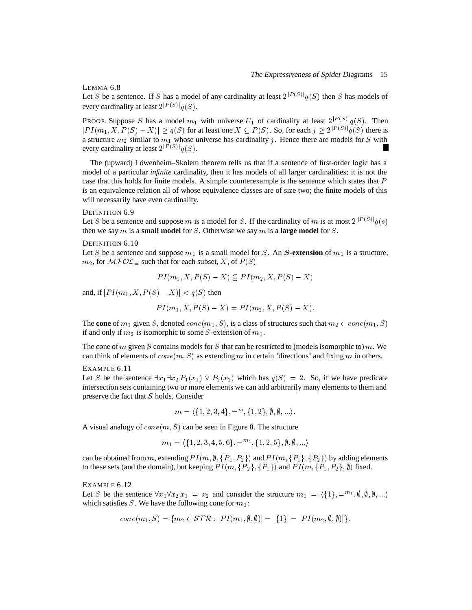LEMMA 6.8

Let S be a sentence. If S has a model of any cardinality at least  $2^{|P(S)|}q(S)$  then S has models of every cardinality at least  $2^{|P(S)|}q(S)$ .

**PROOF.** Suppose S has a model  $m_1$  with universe  $U_1$  of cardinality at least  $2^{|P(S)|}q(S)$ . Then  $|PI(m_1, X, P(S) - X)| \ge q(S)$  for at least one  $X \subseteq P(S)$ . So, for each  $j \ge 2^{|P(S)|} q(S)$  there is a structure  $m_2$  similar to  $m_1$  whose universe has cardinality j. Hence there are models for S with every cardinality at least  $2^{|P(S)|}q(S)$ . H.

The (upward) Löwenheim–Skolem theorem tells us that if a sentence of first-order logic has a model of a particular *infinite* cardinality, then it has models of all larger cardinalities; it is not the case that this holds for finite models. A simple counterexample is the sentence which states that  $P$ is an equivalence relation all of whose equivalence classes are of size two; the finite models of this will necessarily have even cardinality.

DEFINITION 6.9

Let S be a sentence and suppose m is a model for S. If the cardinality of m is at most  $2^{|P(S)|}q(s)$ then we say m is a **small model** for S. Otherwise we say m is a **large model** for S.

#### DEFINITION 6.10

Let S be a sentence and suppose  $m_1$  is a small model for S. An **S-extension** of  $m_1$  is a structure,  $m_2$ , for  $\mathcal{MFOL}_=$  such that for each subset, X, of  $P(S)$ 

$$
PI(m_1, X, P(S) - X) \subseteq PI(m_2, X, P(S) - X)
$$

and, if  $|PI(m_1, X, P(S) - X)| < q(S)$  then

$$
PI(m_1, X, P(S) - X) = PI(m_2, X, P(S) - X).
$$

The **cone** of  $m_1$  given S, denoted  $cone(m_1, S)$ , is a class of structures such that  $m_2 \in cone(m_1, S)$ if and only if  $m_2$  is isomorphic to some S-extension of  $m_1$ .

The cone of  $m$  given  $S$  contains models for  $S$  that can be restricted to (models isomorphic to)  $m$ . We can think of elements of  $cone(m, S)$  as extending m in certain 'directions' and fixing m in others.

#### EXAMPLE 6.11

Let S be the sentence  $\exists x_1 \exists x_2 P_1(x_1) \vee P_2(x_2)$  which has  $q(S) = 2$ . So, if we have predicate intersection sets containing two or more elements we can add arbitrarily many elements to them and preserve the fact that  $S$  holds. Consider

$$
m = \langle \{1, 2, 3, 4\}, =^m, \{1, 2\}, \emptyset, \emptyset, \ldots \rangle.
$$

A visual analogy of  $cone(m, S)$  can be seen in Figure 8. The structure

$$
m_1 = \langle \{1, 2, 3, 4, 5, 6\}, \pm^{m_1}, \{1, 2, 5\}, \emptyset, \emptyset, \ldots \rangle
$$

can be obtained from m, extending  $PI(m, \emptyset, \{P_1, P_2\})$  and  $PI(m, \{P_1\}, \{P_2\})$  by adding elements to these sets (and the domain), but keeping  $PI(m, \{P_2\}, \{P_1\})$  and  $PI(m, \{P_1, P_2\}, \emptyset)$  fixed.

EXAMPLE 6.12

Let S be the sentence  $\forall x_1 \forall x_2 x_1 = x_2$  and consider the structure  $m_1 = \langle \{1\}, \equiv^{m_1}, \emptyset, \emptyset, \emptyset, \ldots \rangle$ which satisfies  $S$ . We have the following cone for  $m_1$ :

$$
cone(m_1, S) = \{m_2 \in \mathcal{STR} : |PI(m_1, \emptyset, \emptyset)| = |\{1\}| = |PI(m_2, \emptyset, \emptyset)|\}.
$$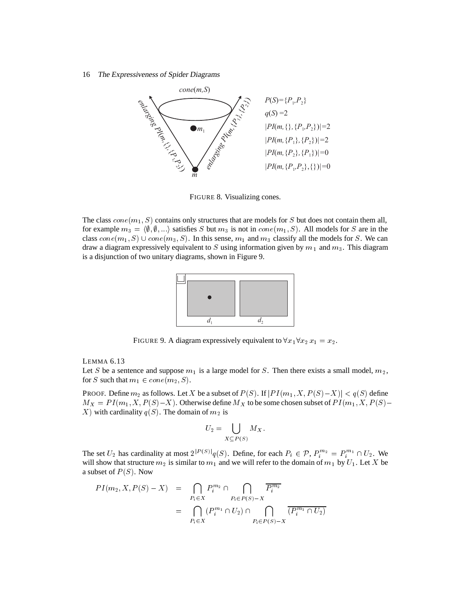16 The Expressiveness of Spider Diagrams



FIGURE 8. Visualizing cones.

The class  $cone(m_1, S)$  contains only structures that are models for S but does not contain them all, for example  $m_3 = \langle \emptyset, \emptyset, \dots \rangle$  satisfies S but  $m_3$  is not in  $cone(m_1, S)$ . All models for S are in the class  $cone(m_1, S) \cup cone(m_3, S)$ . In this sense,  $m_1$  and  $m_3$  classify all the models for S. We can draw a diagram expressively equivalent to S using information given by  $m_1$  and  $m_3$ . This diagram is a disjunction of two unitary diagrams, shown in Figure 9.



FIGURE 9. A diagram expressively equivalent to  $\forall x_1 \forall x_2 x_1 = x_2$ .

LEMMA 6.13

Let S be a sentence and suppose  $m_1$  is a large model for S. Then there exists a small model,  $m_2$ , for S such that  $m_1 \in cone(m_2, S)$ .

PROOF. Define  $m_2$  as follows. Let X be a subset of  $P(S)$ . If  $|PI(m_1, X, P(S)-X)| < q(S)$  define  $M_X = PI(m_1, X, P(S)-X)$ . Otherwise define  $M_X$  to be some chosen subset of  $PI(m_1, X, P(S)-X)$ . X) with cardinality  $q(S)$ . The domain of  $m<sub>2</sub>$  is

$$
U_2 = \bigcup_{X \subseteq P(S)} M_X.
$$

The set  $U_2$  has cardinality at most  $2^{|P(S)|}q(S)$ . Define, for each  $P_i \in \mathcal{P}$ ,  $P_i^{m_2} = P_i^{m_1} \cap U_2$ . We will show that structure  $m_2$  is similar to  $m_1$  and we will refer to the domain of  $m_1$  by  $U_1$ . Let X be a subset of  $P(S)$ . Now

$$
PI(m_2, X, P(S) - X) = \bigcap_{P_i \in X} P_i^{m_2} \cap \bigcap_{P_i \in P(S) - X} \overline{P_i^{m_2}}
$$
  
= 
$$
\bigcap_{P_i \in X} (P_i^{m_1} \cap U_2) \cap \bigcap_{P_i \in P(S) - X} \overline{(P_i^{m_1} \cap U_2)}
$$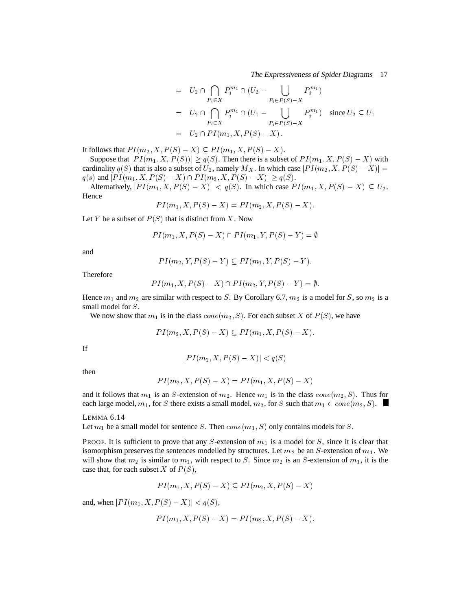$$
= U_2 \cap \bigcap_{P_i \in X} P_i^{m_1} \cap (U_2 - \bigcup_{P_i \in P(S)-X} P_i^{m_1})
$$
  
\n
$$
= U_2 \cap \bigcap_{P_i \in X} P_i^{m_1} \cap (U_1 - \bigcup_{P_i \in P(S)-X} P_i^{m_1}) \text{ since } U_2 \subseteq U_1
$$
  
\n
$$
= U_2 \cap PI(m_1, X, P(S) - X).
$$

It follows that  $PI(m_2, X, P(S) - X) \subseteq PI(m_1, X, P(S) - X)$ .

Suppose that  $|PI(m_1, X, P(S))| \ge q(S)$ . Then there is a subset of  $PI(m_1, X, P(S) - X)$  with cardinality  $q(S)$  that is also a subset of  $U_2$ , namely  $M_X$ . In which case  $|PI(m_2, X, P(S) - X)| =$  $q(s)$  and  $|PI(m_1, X, P(S) - X) \cap PI(m_2, X, P(S) - X)| \geq q(S)$ .

Alternatively,  $|PI(m_1, X, P(S) - X)| < q(S)$ . In which case  $PI(m_1, X, P(S) - X) \subseteq U_2$ . Hence

$$
PI(m_1, X, P(S) - X) = PI(m_2, X, P(S) - X).
$$

Let Y be a subset of  $P(S)$  that is distinct from X. Now

$$
PI(m_1, X, P(S) - X) \cap PI(m_1, Y, P(S) - Y) = \emptyset
$$

and

$$
PI(m_2, Y, P(S) - Y) \subseteq PI(m_1, Y, P(S) - Y).
$$

Therefore

$$
PI(m_1, X, P(S) - X) \cap PI(m_2, Y, P(S) - Y) = \emptyset.
$$

Hence  $m_1$  and  $m_2$  are similar with respect to S. By Corollary 6.7,  $m_2$  is a model for S, so  $m_2$  is a small model for  $S$ .

We now show that  $m_1$  is in the class  $cone(m_2, S)$ . For each subset X of  $P(S)$ , we have

$$
PI(m_2, X, P(S) - X) \subseteq PI(m_1, X, P(S) - X).
$$

If

$$
|PI(m_2, X, P(S) - X)| < q(S)
$$

then

$$
PI(m_2, X, P(S) - X) = PI(m_1, X, P(S) - X)
$$

and it follows that  $m_1$  is an S-extension of  $m_2$ . Hence  $m_1$  is in the class  $cone(m_2, S)$ . Thus for each large model,  $m_1$ , for S there exists a small model,  $m_2$ , for S such that  $m_1 \in cone(m_2, S)$ .

LEMMA 6.14

Let  $m_1$  be a small model for sentence S. Then  $cone(m_1, S)$  only contains models for S.

PROOF. It is sufficient to prove that any  $S$ -extension of  $m<sub>1</sub>$  is a model for  $S$ , since it is clear that isomorphism preserves the sentences modelled by structures. Let  $m_2$  be an S-extension of  $m_1$ . We will show that  $m_2$  is similar to  $m_1$ , with respect to S. Since  $m_2$  is an S-extension of  $m_1$ , it is the case that, for each subset X of  $P(S)$ ,

$$
PI(m_1, X, P(S) - X) \subseteq PI(m_2, X, P(S) - X)
$$

and, when  $|PI(m_1, X, P(S) - X)| < q(S)$ ,

$$
PI(m_1, X, P(S) - X) = PI(m_2, X, P(S) - X).
$$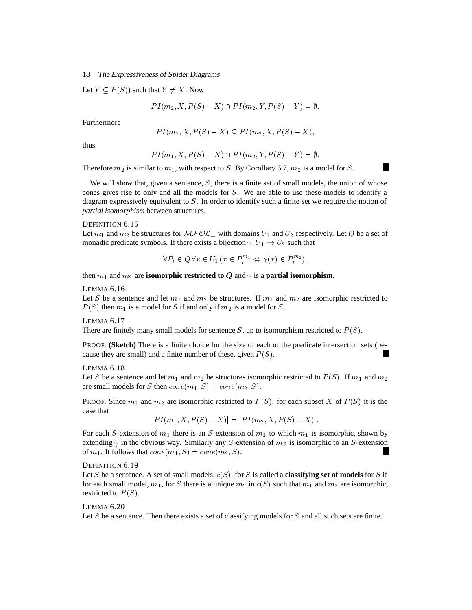Let  $Y \subseteq P(S)$ ) such that  $Y \neq X$ . Now

$$
PI(m_2, X, P(S) - X) \cap PI(m_2, Y, P(S) - Y) = \emptyset.
$$

Furthermore

$$
PI(m_1, X, P(S) - X) \subseteq PI(m_2, X, P(S) - X),
$$

thus

$$
PI(m_1, X, P(S) - X) \cap PI(m_2, Y, P(S) - Y) = \emptyset.
$$

Therefore  $m_2$  is similar to  $m_1$ , with respect to S. By Corollary 6.7,  $m_2$  is a model for S.

We will show that, given a sentence,  $S$ , there is a finite set of small models, the union of whose cones gives rise to only and all the models for  $S$ . We are able to use these models to identify a diagram expressively equivalent to  $S$ . In order to identify such a finite set we require the notion of *partial isomorphism* between structures.

#### DEFINITION 6.15

Let  $m_1$  and  $m_2$  be structures for  $\mathcal{MFOL}_=$  with domains  $U_1$  and  $U_2$  respectively. Let Q be a set of monadic predicate symbols. If there exists a bijection  $\gamma: U_1 \to U_2$  such that

$$
\forall P_i \in Q \,\forall x \in U_1 \,(x \in P_i^{m_1} \Leftrightarrow \gamma(x) \in P_i^{m_2}),
$$

then  $m_1$  and  $m_2$  are **isomorphic restricted to**  $\boldsymbol{Q}$  and  $\gamma$  is a **partial isomorphism**.

#### LEMMA 6.16

Let S be a sentence and let  $m_1$  and  $m_2$  be structures. If  $m_1$  and  $m_2$  are isomorphic restricted to  $P(S)$  then  $m_1$  is a model for S if and only if  $m_2$  is a model for S.

LEMMA 6.17

There are finitely many small models for sentence S, up to isomorphism restricted to  $P(S)$ .

PROOF. **(Sketch)** There is a finite choice for the size of each of the predicate intersection sets (because they are small) and a finite number of these, given  $P(S)$ .

LEMMA 6.18

Let S be a sentence and let  $m_1$  and  $m_2$  be structures isomorphic restricted to  $P(S)$ . If  $m_1$  and  $m_2$ are small models for S then  $cone(m_1, S) = cone(m_2, S)$ .

PROOF. Since  $m_1$  and  $m_2$  are isomorphic restricted to  $P(S)$ , for each subset X of  $P(S)$  it is the case that

$$
|PI(m_1, X, P(S) - X)| = |PI(m_2, X, P(S) - X)|.
$$

For each S-extension of  $m_1$  there is an S-extension of  $m_2$  to which  $m_1$  is isomorphic, shown by extending  $\gamma$  in the obvious way. Similarly any S-extension of  $m_2$  is isomorphic to an S-extension of  $m_1$ . It follows that  $cone(m_1, S) = cone(m_2, S)$ .

DEFINITION 6.19

Let S be a sentence. A set of small models,  $c(S)$ , for S is called a **classifying set of models** for S if for each small model,  $m_1$ , for S there is a unique  $m_2$  in  $c(S)$  such that  $m_1$  and  $m_2$  are isomorphic, restricted to  $P(S)$ .

#### LEMMA 6.20

Let  $S$  be a sentence. Then there exists a set of classifying models for  $S$  and all such sets are finite.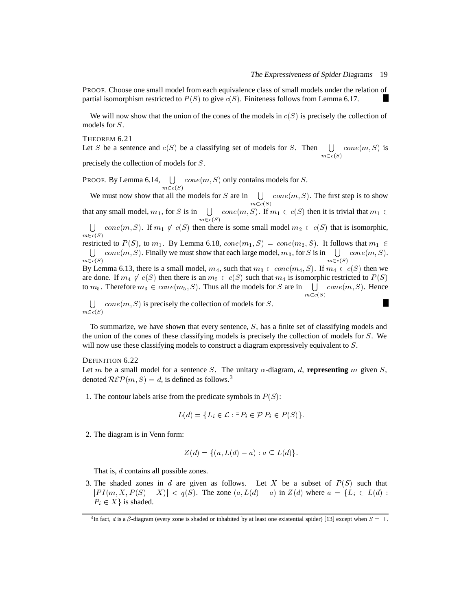. . . . . . . . .

PROOF. Choose one small model from each equivalence class of small models under the relation of partial isomorphism restricted to  $P(S)$  to give  $c(S)$ . Finiteness follows from Lemma 6.17.

We will now show that the union of the cones of the models in  $c(S)$  is precisely the collection of models for  $S$ .

THEOREM 6.21

Let S be a sentence and  $c(S)$  be a classifying set of models for S. Then  $\bigcup$  cone $(m, S)$  is  $m\!\in\!c(S)$ 

precisely the collection of models for  $S$ .

**PROOF.** By Lemma 6.14,  $\bigcup$  cone  $(m, S)$  only contains models for S. . . . . . . . . . .

We must now show that all the models for S are in  $\bigcup$  cone  $(m, S)$ . The first step is to show . . . . . . . . .

that any small model,  $m_1$ , for S is in  $\bigcup$  cone $(m, S)$ . If  $m_1 \in c(S)$  then it is trivial that  $m_1 \in C(S)$ . . . . . . . . .

 $\bigcup$  cone  $(m, S)$ . If  $m_1 \notin c(S)$  then there is some small model  $m_2 \in c(S)$  that is isomorphic,  $m\in c(S)$ 

restricted to  $P(S)$ , to  $m_1$ . By Lemma 6.18,  $cone(m_1, S) = cone(m_2, S)$ . It follows that  $m_1 \in$  $\bigcup$  cone  $(m, S)$ . Finally we must show that each large model,  $m_3$ , for S is in  $\bigcup$  cone  $(m, S)$ .  $m \in \mathcal{C}(S)$  $m \in c(S)$ 

By Lemma 6.13, there is a small model,  $m_4$ , such that  $m_3 \in cone(m_4, S)$ . If  $m_4 \in c(S)$  then we are done. If  $m_4 \notin c(S)$  then there is an  $m_5 \in c(S)$  such that  $m_4$  is isomorphic restricted to  $P(S)$ to  $m_5$ . Therefore  $m_3 \in cone(m_5, S)$ . Thus all the models for S are in  $\bigcup cone(m, S)$ . Hence

 $\bigcup$  cone  $(m, S)$  is precisely the collection of models for S.  $m\!\in\!c(S)$ 

To summarize, we have shown that every sentence,  $S$ , has a finite set of classifying models and the union of the cones of these classifying models is precisely the collection of models for  $S$ . We will now use these classifying models to construct a diagram expressively equivalent to  $S$ .

DEFINITION 6.22

Let m be a small model for a sentence S. The unitary  $\alpha$ -diagram, d, **representing** m given S. denoted  $\mathcal{REF}(m, S) = d$ , is defined as follows.<sup>3</sup>

1. The contour labels arise from the predicate symbols in  $P(S)$ :

$$
L(d) = \{ L_i \in \mathcal{L} : \exists P_i \in \mathcal{P} \, P_i \in P(S) \}.
$$

2. The diagram is in Venn form:

$$
Z(d) = \{(a, L(d) - a) : a \subseteq L(d)\}.
$$

That is, *d* contains all possible zones.

3. The shaded zones in d are given as follows. Let X be a subset of  $P(S)$  such that  $|PI(m, X, P(S) - X)| < q(S)$ . The zone  $(a, L(d) - a)$  in  $Z(d)$  where  $a = \{L_i \in L(d)$ :  $P_i \in X$  is shaded.

<sup>&</sup>lt;sup>3</sup>In fact, *d* is a  $\beta$ -diagram (every zone is shaded or inhabited by at least one existential spider) [13] except when  $S = \top$ .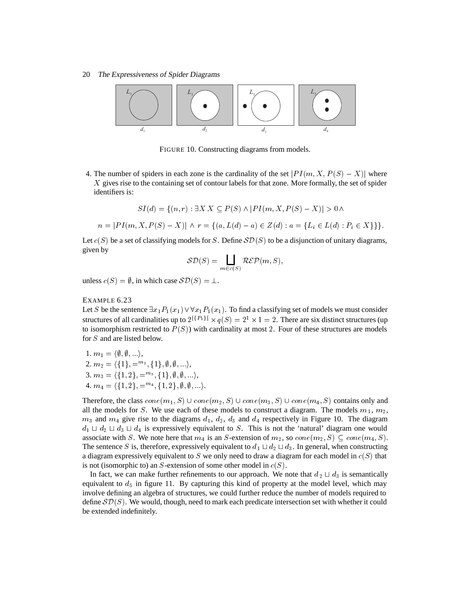20 The Expressiveness of Spider Diagrams



FIGURE 10. Constructing diagrams from models.

4. The number of spiders in each zone is the cardinality of the set  $|PI(m, X, P(S) - X)|$  where  $X$  gives rise to the containing set of contour labels for that zone. More formally, the set of spider identifiers is:

$$
SI(d) = \{(n, r) : \exists X \ X \subseteq P(S) \land |PI(m, X, P(S) - X)| > 0 \land
$$

- # # - - - - - #

Let  $c(S)$  be a set of classifying models for S. Define  $\mathcal{SD}(S)$  to be a disjunction of unitary diagrams, given by

$$
\mathcal{SD}(S) = \bigsqcup_{m \in c(S)} \mathcal{REP}(m, S),
$$

unless  $c(S) = \emptyset$ , in which case  $\mathcal{SD}(S) = \bot$ .

EXAMPLE 6.23

Let S be the sentence  $\exists x_1 P_1(x_1) \vee \forall x_1 P_1(x_1)$ . To find a classifying set of models we must consider structures of all cardinalities up to  $2^{\lfloor\{P_1\}\rfloor} \times q(S) = 2^1 \times 1 = 2$ . There are six distinct structures (up to isomorphism restricted to  $P(S)$ ) with cardinality at most 2. Four of these structures are models for  $S$  and are listed below.

1.  $m_1 = \langle \emptyset, \emptyset, ...\rangle$ , 2.  $m_2 = \langle \{1\}, =^{m_2}, \{1\}, \emptyset, \emptyset, \ldots \rangle,$ 3.  $m_3 = \langle \{1,2\}, \pm^{m_3}, \{1\}, \emptyset, \emptyset, \ldots \rangle,$ 4.  $m_4 = \langle \{1,2\}, \pm^{m_4}, \{1,2\}, \emptyset, \emptyset, \ldots \rangle$ .

Therefore, the class  $cone(m_1, S) \cup cone(m_2, S) \cup cone(m_3, S) \cup cone(m_4, S)$  contains only and all the models for S. We use each of these models to construct a diagram. The models  $m_1$ ,  $m_2$ ,  $m_3$  and  $m_4$  give rise to the diagrams  $d_1$ ,  $d_2$ ,  $d_3$  and  $d_4$  respectively in Figure 10. The diagram  $d_1 \sqcup d_2 \sqcup d_3 \sqcup d_4$  is expressively equivalent to S. This is not the 'natural' diagram one would associate with S. We note here that  $m_4$  is an S-extension of  $m_2$ , so  $cone(m_2, S) \subseteq cone(m_4, S)$ . The sentence S is, therefore, expressively equivalent to  $d_1 \sqcup d_2 \sqcup d_3$ . In general, when constructing a diagram expressively equivalent to S we only need to draw a diagram for each model in  $c(S)$  that is not (isomorphic to) an  $S$ -extension of some other model in  $c(S)$ .

In fact, we can make further refinements to our approach. We note that  $d_2 \sqcup d_3$  is semantically equivalent to  $d_5$  in figure 11. By capturing this kind of property at the model level, which may involve defining an algebra of structures, we could further reduce the number of models required to define  $\mathcal{SD}(S)$ . We would, though, need to mark each predicate intersection set with whether it could be extended indefinitely.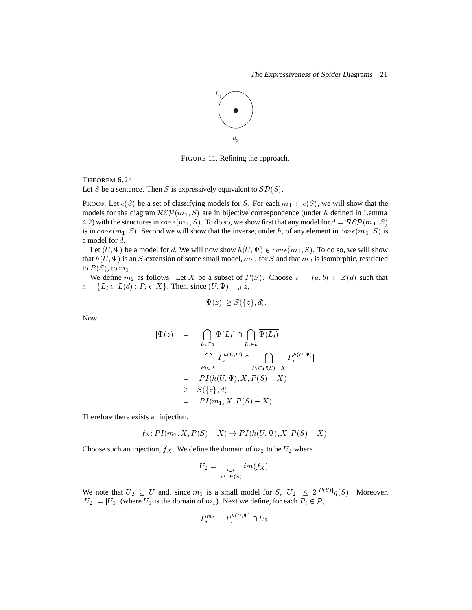

FIGURE 11. Refining the approach.

THEOREM 6.24 Let *S* be a sentence. Then *S* is expressively equivalent to  $\mathcal{SD}(S)$ .

PROOF. Let  $c(S)$  be a set of classifying models for S. For each  $m_1 \in c(S)$ , we will show that the models for the diagram  $\mathcal{R}\mathcal{E}\mathcal{P}(m_1, S)$  are in bijective correspondence (under h defined in Lemma 4.2) with the structures in  $cone(m_1, S)$ . To do so, we show first that any model for  $d = \mathcal{R}\mathcal{E}\mathcal{P}(m_1, S)$ is in  $cone(m_1, S)$ . Second we will show that the inverse, under h, of any element in  $cone(m_1, S)$  is a model for  $d$ .

Let  $(U, \Psi)$  be a model for d. We will now show  $h(U, \Psi) \in cone(m_1, S)$ . To do so, we will show that  $h(U, \Psi)$  is an S-extension of some small model,  $m_2$ , for S and that  $m_2$  is isomorphic, restricted to  $P(S)$ , to  $m_1$ .

We define  $m_2$  as follows. Let X be a subset of  $P(S)$ . Choose  $z = (a, b) \in Z(d)$  such that  $a = \{L_i \in L(d) : P_i \in X\}$ . Then, since  $(U, \Psi) \models_d z$ ,

$$
|\Psi(z)| \ge S(\{z\}, d).
$$

Now

$$
\begin{array}{rcl}\n|\Psi(z)| & = & |\bigcap_{L_i \in a} \Psi(L_i) \cap \bigcap_{L_i \in b} \overline{\Psi(L_i)}| \\
& = & |\bigcap_{P_i \in X} P_i^{h(U, \Psi)} \cap \bigcap_{P_i \in P(S) - X} \overline{P_i^{h(U, \Psi)}}|\n\end{array}
$$
\n
$$
\begin{array}{rcl}\n= & |P I(h(U, \Psi), X, P(S) - X)| \\
\geq & S(\{z\}, d) \\
& = & |P I(m_1, X, P(S) - X)|.\n\end{array}
$$

Therefore there exists an injection,

$$
f_X: PI(m_1, X, P(S) - X) \to PI(h(U, \Psi), X, P(S) - X).
$$

Choose such an injection,  $f_X$ . We define the domain of  $m_2$  to be  $U_2$  where

$$
U_2 = \bigcup_{X \subseteq P(S)} im(f_X).
$$

We note that  $U_2 \subseteq U$  and, since  $m_1$  is a small model for  $S$ ,  $|U_2| \le 2^{|P(S)|} q(S)$ . Moreover,  $|U_2| = |U_1|$  (where  $U_1$  is the domain of  $m_1$ ). Next we define, for each  $P_i \in \mathcal{P}$ ,

$$
P_i^{m_2} = P_i^{h(U,\Psi)} \cap U_2.
$$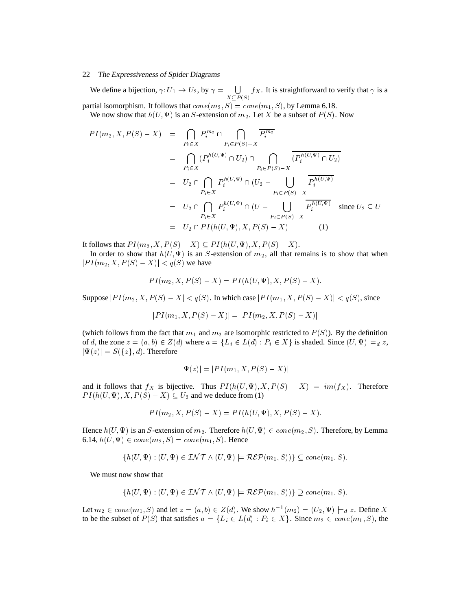We define a bijection,  $\gamma: U_1 \to U_2$ , by  $\gamma = \cup$ -- -- 1-1  $f_X$ . It is straightforward to verify that  $\gamma$  is a partial isomorphism. It follows that  $cone(m_2, S) = cone(m_1, S)$ , by Lemma 6.18.

We now show that  $h(U, \Psi)$  is an S-extension of  $m_2$ . Let X be a subset of  $P(S)$ . Now

$$
PI(m_2, X, P(S) - X) = \bigcap_{P_i \in X} P_i^{m_2} \cap \bigcap_{P_i \in P(S) - X} \overline{P_i^{m_2}}
$$
  
\n
$$
= \bigcap_{P_i \in X} (P_i^{h(U, \Psi)} \cap U_2) \cap \bigcap_{P_i \in P(S) - X} \overline{(P_i^{h(U, \Psi)} \cap U_2)}
$$
  
\n
$$
= U_2 \cap \bigcap_{P_i \in X} P_i^{h(U, \Psi)} \cap (U_2 - \bigcup_{P_i \in P(S) - X} \overline{P_i^{h(U, \Psi)}}
$$
  
\n
$$
= U_2 \cap \bigcap_{P_i \in X} P_i^{h(U, \Psi)} \cap (U - \bigcup_{P_i \in P(S) - X} \overline{P_i^{h(U, \Psi)}}
$$
 since  $U_2 \subseteq U$   
\n
$$
= U_2 \cap PI(h(U, \Psi), X, P(S) - X)
$$
 (1)

It follows that  $PI(m_2, X, P(S) - X) \subseteq PI(h(U, \Psi), X, P(S) - X)$ .

In order to show that  $h(U, \Psi)$  is an S-extension of  $m_2$ , all that remains is to show that when  $|PI(m_2, X, P(S) - X)| < q(S)$  we have

$$
PI(m_2, X, P(S) - X) = PI(h(U, \Psi), X, P(S) - X).
$$

Suppose  $|PI(m_2, X, P(S) - X| < q(S)$ . In which case  $|PI(m_1, X, P(S) - X)| < q(S)$ , since

$$
|PI(m_1, X, P(S) - X)| = |PI(m_2, X, P(S) - X)|
$$

(which follows from the fact that  $m_1$  and  $m_2$  are isomorphic restricted to  $P(S)$ ). By the definition of d, the zone  $z = (a, b) \in Z(d)$  where  $a = \{L_i \in L(d) : P_i \in X\}$  is shaded. Since  $(U, \Psi) \models_d z$ ,  $|\Psi(z)| = S({z}, d)$ . Therefore

$$
|\Psi(z)| = |PI(m_1, X, P(S) - X)|
$$

and it follows that  $f_X$  is bijective. Thus  $PI(h(U, \Psi), X, P(S) - X) = im(f_X)$ . Therefore  $PI(h(U, \Psi), X, P(S) - X) \subseteq U_2$  and we deduce from (1)

$$
PI(m_2, X, P(S) - X) = PI(h(U, \Psi), X, P(S) - X).
$$

Hence  $h(U, \Psi)$  is an S-extension of  $m_2$ . Therefore  $h(U, \Psi) \in cone(m_2, S)$ . Therefore, by Lemma 6.14,  $h(U, \Psi) \in cone(m_2, S) = cone(m_1, S)$ . Hence

$$
\{h(U,\Psi): (U,\Psi)\in \mathcal{INT} \land (U,\Psi)\models \mathcal{R}\mathcal{E}\mathcal{P}(m_1,S))\}\subseteq \text{cone}(m_1,S).
$$

We must now show that

$$
\{h(U, \Psi) : (U, \Psi) \in \mathcal{INT} \land (U, \Psi) \models \mathcal{R} \mathcal{E} \mathcal{P}(m_1, S))\} \supseteq \text{cone}(m_1, S).
$$

Let  $m_2 \in cone(m_1, S)$  and let  $z = (a, b) \in Z(d)$ . We show  $h^{-1}(m_2) = (U_2, \Psi) \models_d z$ . Define X to be the subset of  $P(S)$  that satisfies  $a = \{L_i \in L(d) : P_i \in X\}$ . Since  $m_2 \in cone(m_1, S)$ , the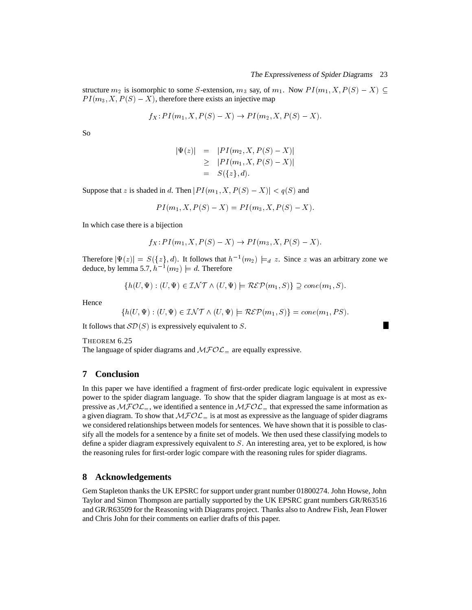structure  $m_2$  is isomorphic to some S-extension,  $m_3$  say, of  $m_1$ . Now  $PI(m_1, X, P(S) - X) \subseteq$  $PI(m_3, X, P(S) - X)$ , therefore there exists an injective map

$$
f_X: PI(m_1, X, P(S) - X) \to PI(m_2, X, P(S) - X).
$$

So

$$
|\Psi(z)| = |PI(m_2, X, P(S) - X)|
$$
  
\n
$$
\geq |PI(m_1, X, P(S) - X)|
$$
  
\n
$$
= S({z}, d).
$$

Suppose that z is shaded in d. Then  $|PI(m_1, X, P(S) - X)| < q(S)$  and

$$
PI(m_1, X, P(S) - X) = PI(m_3, X, P(S) - X).
$$

In which case there is a bijection

$$
f_X: PI(m_1, X, P(S) - X) \to PI(m_3, X, P(S) - X).
$$

Therefore  $|\Psi(z)| = S(\{z\}, d)$ . It follows that  $h^{-1}(m_2) \models_d z$ . Since z was an arbitrary zone we deduce, by lemma 5.7,  $h^{-1}(m_2) \models d$ . Therefore

$$
\{h(U, \Psi) : (U, \Psi) \in \mathcal{INT} \land (U, \Psi) \models \mathcal{R}\mathcal{E}\mathcal{P}(m_1, S)\} \supseteq \text{cone}(m_1, S).
$$

Hence

$$
\{h(U, \Psi) : (U, \Psi) \in \mathcal{INT} \land (U, \Psi) \models \mathcal{R}\mathcal{E}\mathcal{P}(m_1, S)\} = cone(m_1, PS).
$$

It follows that  $\mathcal{SD}(S)$  is expressively equivalent to  $S$ .

THEOREM 6.25

The language of spider diagrams and  $MFOL$ <sub>=</sub> are equally expressive.

#### **7 Conclusion**

In this paper we have identified a fragment of first-order predicate logic equivalent in expressive power to the spider diagram language. To show that the spider diagram language is at most as expressive as  $MFOL_{=}$ , we identified a sentence in  $MFOL_{=}$  that expressed the same information as a given diagram. To show that  $MFOL$  is at most as expressive as the language of spider diagrams we considered relationships between models for sentences. We have shown that it is possible to classify all the models for a sentence by a finite set of models. We then used these classifying models to define a spider diagram expressively equivalent to  $S$ . An interesting area, yet to be explored, is how the reasoning rules for first-order logic compare with the reasoning rules for spider diagrams.

#### **8 Acknowledgements**

Gem Stapleton thanks the UK EPSRC for support under grant number 01800274. John Howse, John Taylor and Simon Thompson are partially supported by the UK EPSRC grant numbers GR/R63516 and GR/R63509 for the Reasoning with Diagrams project. Thanks also to Andrew Fish, Jean Flower and Chris John for their comments on earlier drafts of this paper.